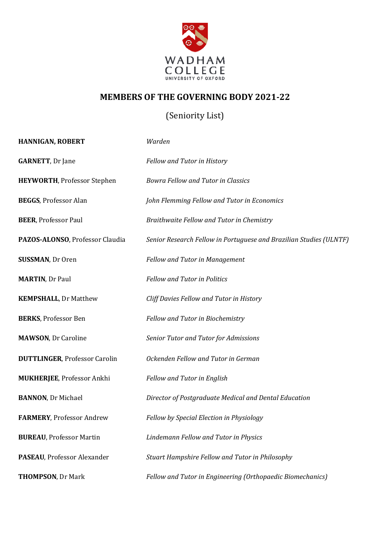

## **MEMBERS OF THE GOVERNING BODY 2021-22**

## (Seniority List)

| HANNIGAN, ROBERT                     | Warden                                                             |
|--------------------------------------|--------------------------------------------------------------------|
| <b>GARNETT, Dr Jane</b>              | Fellow and Tutor in History                                        |
| <b>HEYWORTH, Professor Stephen</b>   | <b>Bowra Fellow and Tutor in Classics</b>                          |
| <b>BEGGS, Professor Alan</b>         | John Flemming Fellow and Tutor in Economics                        |
| <b>BEER, Professor Paul</b>          | Braithwaite Fellow and Tutor in Chemistry                          |
| PAZOS-ALONSO, Professor Claudia      | Senior Research Fellow in Portuguese and Brazilian Studies (ULNTF) |
| <b>SUSSMAN, Dr Oren</b>              | <b>Fellow and Tutor in Management</b>                              |
| <b>MARTIN, Dr Paul</b>               | <b>Fellow and Tutor in Politics</b>                                |
| <b>KEMPSHALL, Dr Matthew</b>         | Cliff Davies Fellow and Tutor in History                           |
| <b>BERKS, Professor Ben</b>          | Fellow and Tutor in Biochemistry                                   |
| <b>MAWSON, Dr Caroline</b>           | Senior Tutor and Tutor for Admissions                              |
| <b>DUTTLINGER, Professor Carolin</b> | Ockenden Fellow and Tutor in German                                |
| <b>MUKHERJEE, Professor Ankhi</b>    | <b>Fellow and Tutor in English</b>                                 |
| <b>BANNON</b> , Dr Michael           | Director of Postgraduate Medical and Dental Education              |
| FARMERY, Professor Andrew            | Fellow by Special Election in Physiology                           |
| <b>BUREAU, Professor Martin</b>      | Lindemann Fellow and Tutor in Physics                              |
| PASEAU, Professor Alexander          | Stuart Hampshire Fellow and Tutor in Philosophy                    |
| <b>THOMPSON, Dr Mark</b>             | Fellow and Tutor in Engineering (Orthopaedic Biomechanics)         |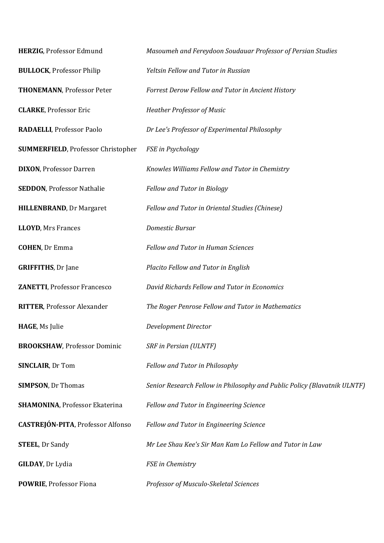| HERZIG, Professor Edmund                  | Masoumeh and Fereydoon Soudauar Professor of Persian Studies             |
|-------------------------------------------|--------------------------------------------------------------------------|
| <b>BULLOCK, Professor Philip</b>          | Yeltsin Fellow and Tutor in Russian                                      |
| <b>THONEMANN, Professor Peter</b>         | Forrest Derow Fellow and Tutor in Ancient History                        |
| <b>CLARKE, Professor Eric</b>             | Heather Professor of Music                                               |
| RADAELLI, Professor Paolo                 | Dr Lee's Professor of Experimental Philosophy                            |
| <b>SUMMERFIELD, Professor Christopher</b> | FSE in Psychology                                                        |
| <b>DIXON, Professor Darren</b>            | Knowles Williams Fellow and Tutor in Chemistry                           |
| <b>SEDDON, Professor Nathalie</b>         | Fellow and Tutor in Biology                                              |
| <b>HILLENBRAND, Dr Margaret</b>           | Fellow and Tutor in Oriental Studies (Chinese)                           |
| <b>LLOYD, Mrs Frances</b>                 | Domestic Bursar                                                          |
| <b>COHEN, Dr Emma</b>                     | <b>Fellow and Tutor in Human Sciences</b>                                |
| <b>GRIFFITHS, Dr Jane</b>                 | Placito Fellow and Tutor in English                                      |
| <b>ZANETTI, Professor Francesco</b>       | David Richards Fellow and Tutor in Economics                             |
| <b>RITTER, Professor Alexander</b>        | The Roger Penrose Fellow and Tutor in Mathematics                        |
| HAGE, Ms Julie                            | Development Director                                                     |
| <b>BROOKSHAW, Professor Dominic</b>       | SRF in Persian (ULNTF)                                                   |
| <b>SINCLAIR, Dr Tom</b>                   | Fellow and Tutor in Philosophy                                           |
| <b>SIMPSON, Dr Thomas</b>                 | Senior Research Fellow in Philosophy and Public Policy (Blavatnik ULNTF) |
| <b>SHAMONINA, Professor Ekaterina</b>     | Fellow and Tutor in Engineering Science                                  |
| <b>CASTREJÓN-PITA, Professor Alfonso</b>  | Fellow and Tutor in Engineering Science                                  |
| <b>STEEL, Dr Sandy</b>                    | Mr Lee Shau Kee's Sir Man Kam Lo Fellow and Tutor in Law                 |
| <b>GILDAY</b> , Dr Lydia                  | FSE in Chemistry                                                         |
| POWRIE, Professor Fiona                   | Professor of Musculo-Skeletal Sciences                                   |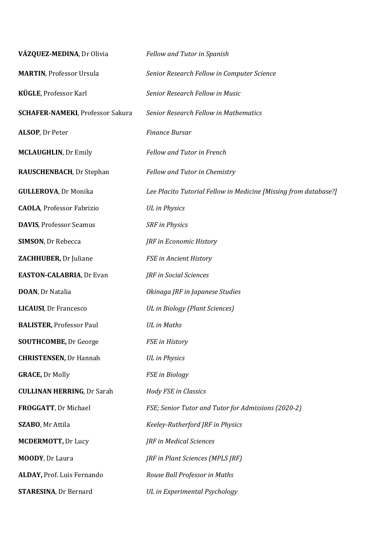| VÁZQUEZ-MEDINA, Dr Olivia               | Fellow and Tutor in Spanish                                      |  |
|-----------------------------------------|------------------------------------------------------------------|--|
| <b>MARTIN, Professor Ursula</b>         | Senior Research Fellow in Computer Science                       |  |
| KÜGLE, Professor Karl                   | Senior Research Fellow in Music                                  |  |
| <b>SCHAFER-NAMEKI, Professor Sakura</b> | <b>Senior Research Fellow in Mathematics</b>                     |  |
| ALSOP, Dr Peter                         | <b>Finance Bursar</b>                                            |  |
| <b>MCLAUGHLIN, Dr Emily</b>             | <b>Fellow and Tutor in French</b>                                |  |
| RAUSCHENBACH, Dr Stephan                | Fellow and Tutor in Chemistry                                    |  |
| <b>GULLEROVA, Dr Monika</b>             | Lee Placito Tutorial Fellow in Medicine [Missing from database?] |  |
| <b>CAOLA, Professor Fabrizio</b>        | <b>UL</b> in Physics                                             |  |
| <b>DAVIS, Professor Seamus</b>          | <b>SRF</b> in Physics                                            |  |
| <b>SIMSON, Dr Rebecca</b>               | JRF in Economic History                                          |  |
| ZACHHUBER, Dr Juliane                   | FSE in Ancient History                                           |  |
| <b>EASTON-CALABRIA, Dr Evan</b>         | JRF in Social Sciences                                           |  |
| <b>DOAN</b> , Dr Natalia                | Okinaga JRF in Japanese Studies                                  |  |
| <b>LICAUSI</b> , Dr Francesco           | UL in Biology (Plant Sciences)                                   |  |
| <b>BALISTER, Professor Paul</b>         | <b>UL</b> in Maths                                               |  |
| <b>SOUTHCOMBE, Dr George</b>            | <b>FSE</b> in History                                            |  |
| <b>CHRISTENSEN, Dr Hannah</b>           | <b>UL</b> in Physics                                             |  |
| <b>GRACE, Dr Molly</b>                  | FSE in Biology                                                   |  |
| <b>CULLINAN HERRING, Dr Sarah</b>       | <b>Hody FSE in Classics</b>                                      |  |
| FROGGATT, Dr Michael                    | FSE; Senior Tutor and Tutor for Admissions (2020-2)              |  |
| SZABO, Mr Attila                        | Keeley-Rutherford JRF in Physics                                 |  |
| <b>MCDERMOTT, Dr Lucy</b>               | JRF in Medical Sciences                                          |  |
| MOODY, Dr Laura                         | JRF in Plant Sciences (MPLS JRF)                                 |  |
| ALDAY, Prof. Luis Fernando              | Rouse Ball Professor in Maths                                    |  |
| <b>STARESINA, Dr Bernard</b>            | UL in Experimental Psychology                                    |  |